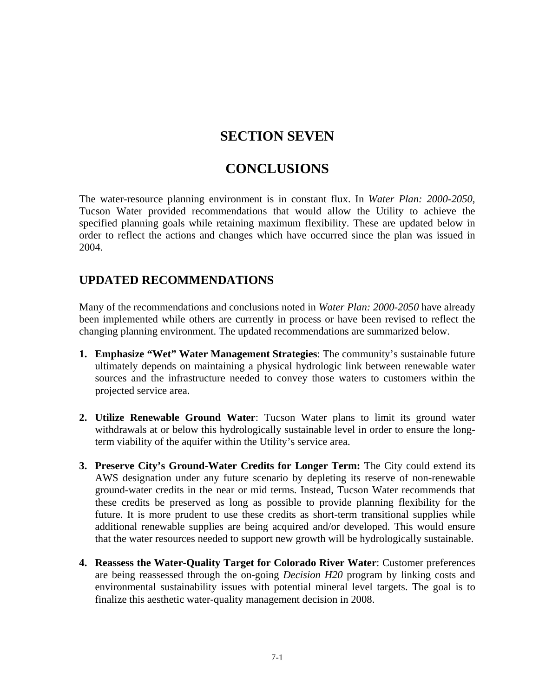# **SECTION SEVEN**

# **CONCLUSIONS**

The water-resource planning environment is in constant flux. In *Water Plan: 2000-2050*, Tucson Water provided recommendations that would allow the Utility to achieve the specified planning goals while retaining maximum flexibility. These are updated below in order to reflect the actions and changes which have occurred since the plan was issued in 2004.

#### **UPDATED RECOMMENDATIONS**

Many of the recommendations and conclusions noted in *Water Plan: 2000-2050* have already been implemented while others are currently in process or have been revised to reflect the changing planning environment. The updated recommendations are summarized below.

- **1. Emphasize "Wet" Water Management Strategies**: The community's sustainable future ultimately depends on maintaining a physical hydrologic link between renewable water sources and the infrastructure needed to convey those waters to customers within the projected service area.
- **2. Utilize Renewable Ground Water**: Tucson Water plans to limit its ground water withdrawals at or below this hydrologically sustainable level in order to ensure the longterm viability of the aquifer within the Utility's service area.
- **3. Preserve City's Ground-Water Credits for Longer Term:** The City could extend its AWS designation under any future scenario by depleting its reserve of non-renewable ground-water credits in the near or mid terms. Instead, Tucson Water recommends that these credits be preserved as long as possible to provide planning flexibility for the future. It is more prudent to use these credits as short-term transitional supplies while additional renewable supplies are being acquired and/or developed. This would ensure that the water resources needed to support new growth will be hydrologically sustainable.
- **4. Reassess the Water-Quality Target for Colorado River Water**: Customer preferences are being reassessed through the on-going *Decision H20* program by linking costs and environmental sustainability issues with potential mineral level targets. The goal is to finalize this aesthetic water-quality management decision in 2008.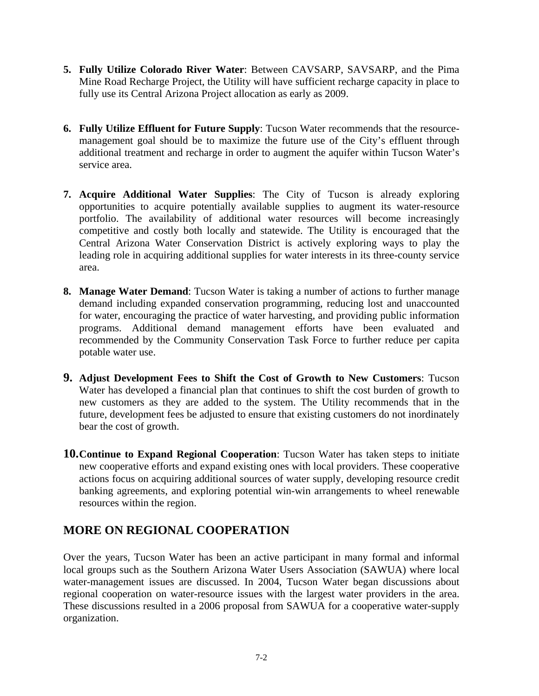- **5. Fully Utilize Colorado River Water**: Between CAVSARP, SAVSARP, and the Pima Mine Road Recharge Project, the Utility will have sufficient recharge capacity in place to fully use its Central Arizona Project allocation as early as 2009.
- **6. Fully Utilize Effluent for Future Supply**: Tucson Water recommends that the resourcemanagement goal should be to maximize the future use of the City's effluent through additional treatment and recharge in order to augment the aquifer within Tucson Water's service area.
- **7. Acquire Additional Water Supplies**: The City of Tucson is already exploring opportunities to acquire potentially available supplies to augment its water-resource portfolio. The availability of additional water resources will become increasingly competitive and costly both locally and statewide. The Utility is encouraged that the Central Arizona Water Conservation District is actively exploring ways to play the leading role in acquiring additional supplies for water interests in its three-county service area.
- **8. Manage Water Demand**: Tucson Water is taking a number of actions to further manage demand including expanded conservation programming, reducing lost and unaccounted for water, encouraging the practice of water harvesting, and providing public information programs. Additional demand management efforts have been evaluated and recommended by the Community Conservation Task Force to further reduce per capita potable water use.
- **9. Adjust Development Fees to Shift the Cost of Growth to New Customers**: Tucson Water has developed a financial plan that continues to shift the cost burden of growth to new customers as they are added to the system. The Utility recommends that in the future, development fees be adjusted to ensure that existing customers do not inordinately bear the cost of growth.
- **10.Continue to Expand Regional Cooperation**: Tucson Water has taken steps to initiate new cooperative efforts and expand existing ones with local providers. These cooperative actions focus on acquiring additional sources of water supply, developing resource credit banking agreements, and exploring potential win-win arrangements to wheel renewable resources within the region.

### **MORE ON REGIONAL COOPERATION**

Over the years, Tucson Water has been an active participant in many formal and informal local groups such as the Southern Arizona Water Users Association (SAWUA) where local water-management issues are discussed. In 2004, Tucson Water began discussions about regional cooperation on water-resource issues with the largest water providers in the area. These discussions resulted in a 2006 proposal from SAWUA for a cooperative water-supply organization.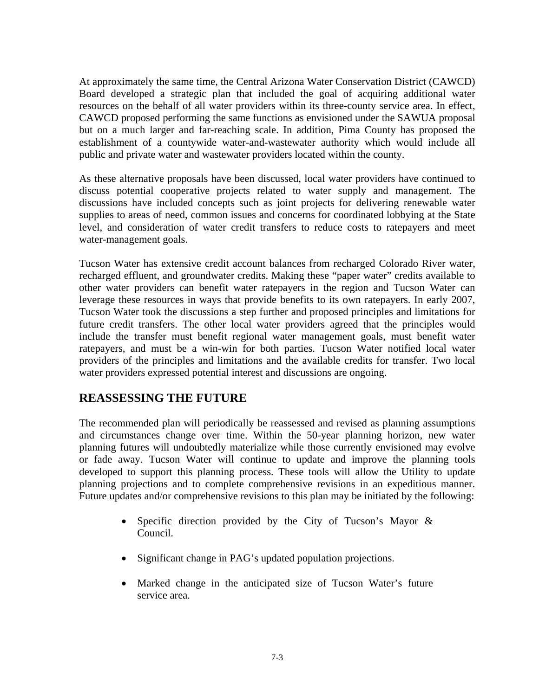At approximately the same time, the Central Arizona Water Conservation District (CAWCD) Board developed a strategic plan that included the goal of acquiring additional water resources on the behalf of all water providers within its three-county service area. In effect, CAWCD proposed performing the same functions as envisioned under the SAWUA proposal but on a much larger and far-reaching scale. In addition, Pima County has proposed the establishment of a countywide water-and-wastewater authority which would include all public and private water and wastewater providers located within the county.

As these alternative proposals have been discussed, local water providers have continued to discuss potential cooperative projects related to water supply and management. The discussions have included concepts such as joint projects for delivering renewable water supplies to areas of need, common issues and concerns for coordinated lobbying at the State level, and consideration of water credit transfers to reduce costs to ratepayers and meet water-management goals.

Tucson Water has extensive credit account balances from recharged Colorado River water, recharged effluent, and groundwater credits. Making these "paper water" credits available to other water providers can benefit water ratepayers in the region and Tucson Water can leverage these resources in ways that provide benefits to its own ratepayers. In early 2007, Tucson Water took the discussions a step further and proposed principles and limitations for future credit transfers. The other local water providers agreed that the principles would include the transfer must benefit regional water management goals, must benefit water ratepayers, and must be a win-win for both parties. Tucson Water notified local water providers of the principles and limitations and the available credits for transfer. Two local water providers expressed potential interest and discussions are ongoing.

#### **REASSESSING THE FUTURE**

The recommended plan will periodically be reassessed and revised as planning assumptions and circumstances change over time. Within the 50-year planning horizon, new water planning futures will undoubtedly materialize while those currently envisioned may evolve or fade away. Tucson Water will continue to update and improve the planning tools developed to support this planning process. These tools will allow the Utility to update planning projections and to complete comprehensive revisions in an expeditious manner. Future updates and/or comprehensive revisions to this plan may be initiated by the following:

- Specific direction provided by the City of Tucson's Mayor & Council.
- Significant change in PAG's updated population projections.
- Marked change in the anticipated size of Tucson Water's future service area.